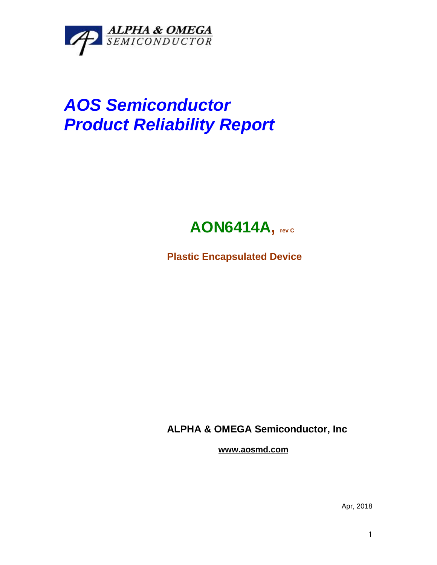

## *AOS Semiconductor Product Reliability Report*



**Plastic Encapsulated Device**

**ALPHA & OMEGA Semiconductor, Inc**

**www.aosmd.com**

Apr, 2018